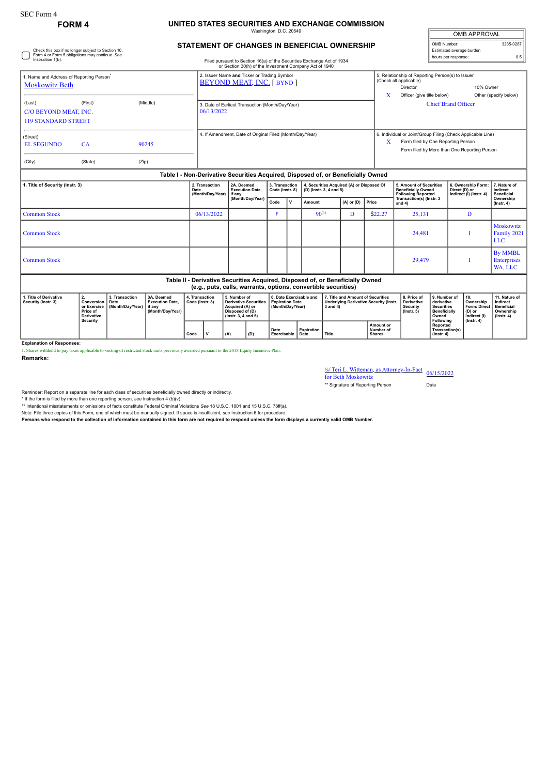## **FORM 4 UNITED STATES SECURITIES AND EXCHANGE COMMISSION**

Washington, D.C. 20549

| <b>OMB APPROVAL</b>      |           |
|--------------------------|-----------|
| OMB Number:              | 3235-0287 |
| Estimated average burden |           |
| hours per response:      | ሰ 5       |

| STATEMENT OF CHANGES IN BENEFICIAL OWNERSHIP |  |  |  |
|----------------------------------------------|--|--|--|
|                                              |  |  |  |

| Check this box if no longer subject to Section 16.<br>Form 4 or Form 5 obligations may continue. See<br>Instruction 1(b). |         | Filed pursuant to Section 16(a) of the Securities Exchange Act of 1934<br>or Section 30(h) of the Investment Company Act of 1940 |                                                                                  |                                                                                  |                                   |                                                                      |                |       | Estimated average burden<br>hours per response:                                   | 0.5                                                                                                                                                        |                                               |                                        |  |
|---------------------------------------------------------------------------------------------------------------------------|---------|----------------------------------------------------------------------------------------------------------------------------------|----------------------------------------------------------------------------------|----------------------------------------------------------------------------------|-----------------------------------|----------------------------------------------------------------------|----------------|-------|-----------------------------------------------------------------------------------|------------------------------------------------------------------------------------------------------------------------------------------------------------|-----------------------------------------------|----------------------------------------|--|
| 1. Name and Address of Reporting Person <sup>®</sup><br><b>Moskowitz Beth</b>                                             |         |                                                                                                                                  |                                                                                  | 2. Issuer Name and Ticker or Trading Symbol<br><b>BEYOND MEAT, INC. [ BYND ]</b> |                                   |                                                                      |                |       | X                                                                                 | 5. Relationship of Reporting Person(s) to Issuer<br>(Check all applicable)<br>10% Owner<br>Director<br>Officer (give title below)<br>Other (specify below) |                                               |                                        |  |
| (Last)<br>C/O BEYOND MEAT, INC.<br><b>119 STANDARD STREET</b>                                                             | (First) | (Middle)                                                                                                                         | 06/13/2022                                                                       | 3. Date of Earliest Transaction (Month/Day/Year)                                 |                                   |                                                                      |                |       |                                                                                   | <b>Chief Brand Officer</b>                                                                                                                                 |                                               |                                        |  |
| (Street)<br><b>EL SEGUNDO</b>                                                                                             | CA      | 90245                                                                                                                            |                                                                                  | 4. If Amendment, Date of Original Filed (Month/Dav/Year)                         |                                   |                                                                      |                |       |                                                                                   | 6. Individual or Joint/Group Filing (Check Applicable Line)<br>Form filed by One Reporting Person<br>X<br>Form filed by More than One Reporting Person     |                                               |                                        |  |
| (City)                                                                                                                    | (State) | (Zip)                                                                                                                            |                                                                                  |                                                                                  |                                   |                                                                      |                |       |                                                                                   |                                                                                                                                                            |                                               |                                        |  |
|                                                                                                                           |         |                                                                                                                                  | Table I - Non-Derivative Securities Acquired, Disposed of, or Beneficially Owned |                                                                                  |                                   |                                                                      |                |       |                                                                                   |                                                                                                                                                            |                                               |                                        |  |
| 1. Title of Security (Instr. 3)                                                                                           |         | 2. Transaction<br>Date<br>(Month/Day/Year)                                                                                       | 2A. Deemed<br><b>Execution Date,</b><br>if anv                                   |                                                                                  | 3. Transaction<br>Code (Instr. 8) | 4. Securities Acquired (A) or Disposed Of<br>(D) (Instr. 3, 4 and 5) |                |       | 5. Amount of Securities<br><b>Beneficially Owned</b><br><b>Following Reported</b> | 6. Ownership Form:<br>Direct (D) or<br>Indirect (I) (Instr. 4)                                                                                             | 7. Nature of<br>Indirect<br><b>Beneficial</b> |                                        |  |
|                                                                                                                           |         |                                                                                                                                  | (Month/Day/Year)                                                                 | Code                                                                             | $\mathsf{v}$                      | Amount                                                               | $(A)$ or $(D)$ | Price | Transaction(s) (Instr. 3<br>and 4)                                                |                                                                                                                                                            | Ownership<br>$($ lnstr. 4 $)$                 |                                        |  |
| <b>Common Stock</b>                                                                                                       |         |                                                                                                                                  | 06/13/2022                                                                       |                                                                                  | F                                 |                                                                      | $90^{(1)}$     | D     | \$22.27                                                                           | 25,131                                                                                                                                                     | D                                             |                                        |  |
| <b>Common Stock</b>                                                                                                       |         |                                                                                                                                  |                                                                                  |                                                                                  |                                   |                                                                      |                |       |                                                                                   | 24,481                                                                                                                                                     |                                               | Moskowitz<br>Family 2021<br><b>LLC</b> |  |
| <b>Common Stock</b>                                                                                                       |         |                                                                                                                                  |                                                                                  |                                                                                  |                                   |                                                                      |                |       |                                                                                   | 29.479                                                                                                                                                     |                                               | <b>By MMBL</b><br>Enterprises          |  |

## WA, LLC **Table II - Derivative Securities Acquired, Disposed of, or Beneficially Owned (e.g., puts, calls, warrants, options, convertible securities) 1. Title of Derivative Security (Instr. 3) 2. Conversion or Exercise Price of Derivative Security 3. Transaction Date (Month/Day/Year) 3A. Deemed Execution Date, if any (Month/Day/Year) 4. Transaction Code (Instr. 8) 5. Number of Derivative Securities Acquired (A) or Disposed of (D) (Instr. 3, 4 and 5) 6. Date Exercisable and Expiration Date (Month/Day/Year) 7. Title and Amount of Securities Underlying Derivative Security (Instr. 3 and 4) 8. Price of Derivative Security (Instr. 5) 9. Number of derivative Securities Beneficially Owned Following Reported Transaction(s) (Instr. 4) 10. Ownership Form: Direct (D) or Indirect (I) (Instr. 4) 11. Nature of Indirect Beneficial Ownership (Instr. 4) Code V (A) (D) Date Exercisable Expiration Date Title Amount or Number of Shares**

**Explanation of Responses:**

1. Shares withheld to pay taxes applicable to vesting of restricted stock units previously awarded pursuant to the 2018 Equity Incentive Plan. **Remarks:**

## /s/ Teri L. Witteman, as Attorney-In-Fact for Beth Moskowitz 06/15/2022

\*\* Signature of Reporting Person Date

Reminder: Report on a separate line for each class of securities beneficially owned directly or indirectly.

\* If the form is filed by more than one reporting person, see Instruction 4 (b)(v).<br>\*\* Intentional misstatements or omissions of facts constitute Federal Criminal Violations See 18 U.S.C. 1001 and 15 U.S.C. 78ff(a).

Note: File three copies of this Form, one of which must be manually signed. If space is insufficient, *see* Instruction 6 for procedure.

**Persons who respond to the collection of information contained in this form are not required to respond unless the form displays a currently valid OMB Number.**